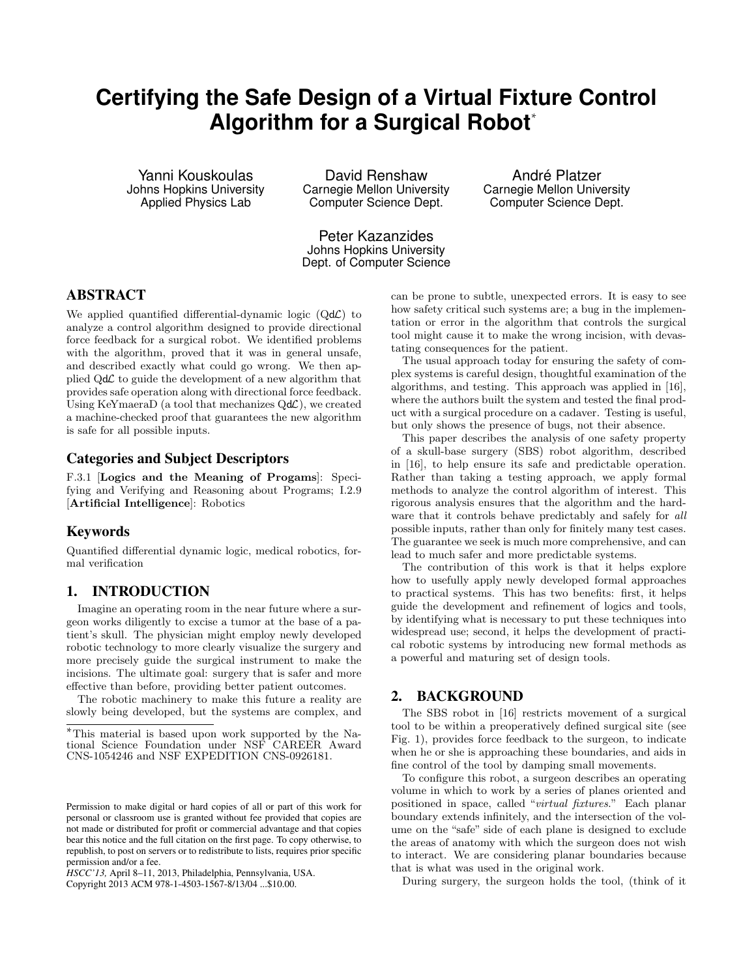# **Certifying the Safe Design of a Virtual Fixture Control Algorithm for a Surgical Robot**<sup>∗</sup>

Yanni Kouskoulas Johns Hopkins University Applied Physics Lab

David Renshaw Carnegie Mellon University Computer Science Dept.

André Platzer Carnegie Mellon University Computer Science Dept.

Peter Kazanzides Johns Hopkins University Dept. of Computer Science

# ABSTRACT

We applied quantified differential-dynamic logic  $(Qd\mathcal{L})$  to analyze a control algorithm designed to provide directional force feedback for a surgical robot. We identified problems with the algorithm, proved that it was in general unsafe, and described exactly what could go wrong. We then applied QdL to guide the development of a new algorithm that provides safe operation along with directional force feedback. Using KeYmaeraD (a tool that mechanizes  $Qd\mathcal{L}$ ), we created a machine-checked proof that guarantees the new algorithm is safe for all possible inputs.

## Categories and Subject Descriptors

F.3.1 [Logics and the Meaning of Progams]: Specifying and Verifying and Reasoning about Programs; I.2.9 [Artificial Intelligence]: Robotics

## Keywords

Quantified differential dynamic logic, medical robotics, formal verification

## 1. INTRODUCTION

Imagine an operating room in the near future where a surgeon works diligently to excise a tumor at the base of a patient's skull. The physician might employ newly developed robotic technology to more clearly visualize the surgery and more precisely guide the surgical instrument to make the incisions. The ultimate goal: surgery that is safer and more effective than before, providing better patient outcomes.

The robotic machinery to make this future a reality are slowly being developed, but the systems are complex, and

*HSCC'13,* April 8–11, 2013, Philadelphia, Pennsylvania, USA.

Copyright 2013 ACM 978-1-4503-1567-8/13/04 ...\$10.00.

can be prone to subtle, unexpected errors. It is easy to see how safety critical such systems are; a bug in the implementation or error in the algorithm that controls the surgical tool might cause it to make the wrong incision, with devastating consequences for the patient.

The usual approach today for ensuring the safety of complex systems is careful design, thoughtful examination of the algorithms, and testing. This approach was applied in [16], where the authors built the system and tested the final product with a surgical procedure on a cadaver. Testing is useful, but only shows the presence of bugs, not their absence.

This paper describes the analysis of one safety property of a skull-base surgery (SBS) robot algorithm, described in [16], to help ensure its safe and predictable operation. Rather than taking a testing approach, we apply formal methods to analyze the control algorithm of interest. This rigorous analysis ensures that the algorithm and the hardware that it controls behave predictably and safely for all possible inputs, rather than only for finitely many test cases. The guarantee we seek is much more comprehensive, and can lead to much safer and more predictable systems.

The contribution of this work is that it helps explore how to usefully apply newly developed formal approaches to practical systems. This has two benefits: first, it helps guide the development and refinement of logics and tools, by identifying what is necessary to put these techniques into widespread use; second, it helps the development of practical robotic systems by introducing new formal methods as a powerful and maturing set of design tools.

## 2. BACKGROUND

The SBS robot in [16] restricts movement of a surgical tool to be within a preoperatively defined surgical site (see Fig. 1), provides force feedback to the surgeon, to indicate when he or she is approaching these boundaries, and aids in fine control of the tool by damping small movements.

To configure this robot, a surgeon describes an operating volume in which to work by a series of planes oriented and positioned in space, called "virtual fixtures." Each planar boundary extends infinitely, and the intersection of the volume on the "safe" side of each plane is designed to exclude the areas of anatomy with which the surgeon does not wish to interact. We are considering planar boundaries because that is what was used in the original work.

During surgery, the surgeon holds the tool, (think of it

<sup>∗</sup>This material is based upon work supported by the National Science Foundation under NSF CAREER Award CNS-1054246 and NSF EXPEDITION CNS-0926181.

Permission to make digital or hard copies of all or part of this work for personal or classroom use is granted without fee provided that copies are not made or distributed for profit or commercial advantage and that copies bear this notice and the full citation on the first page. To copy otherwise, to republish, to post on servers or to redistribute to lists, requires prior specific permission and/or a fee.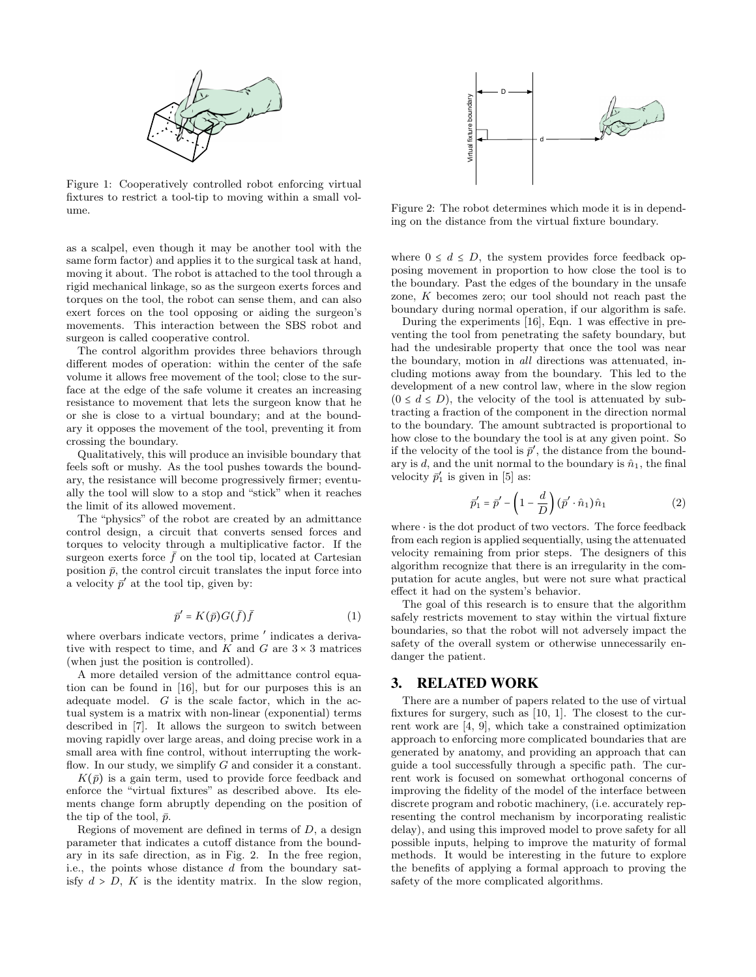

Figure 1: Cooperatively controlled robot enforcing virtual fixtures to restrict a tool-tip to moving within a small volume.

as a scalpel, even though it may be another tool with the same form factor) and applies it to the surgical task at hand, moving it about. The robot is attached to the tool through a rigid mechanical linkage, so as the surgeon exerts forces and torques on the tool, the robot can sense them, and can also exert forces on the tool opposing or aiding the surgeon's movements. This interaction between the SBS robot and surgeon is called cooperative control.

The control algorithm provides three behaviors through different modes of operation: within the center of the safe volume it allows free movement of the tool; close to the surface at the edge of the safe volume it creates an increasing resistance to movement that lets the surgeon know that he or she is close to a virtual boundary; and at the boundary it opposes the movement of the tool, preventing it from crossing the boundary.

Qualitatively, this will produce an invisible boundary that feels soft or mushy. As the tool pushes towards the boundary, the resistance will become progressively firmer; eventually the tool will slow to a stop and "stick" when it reaches the limit of its allowed movement.

The "physics" of the robot are created by an admittance control design, a circuit that converts sensed forces and torques to velocity through a multiplicative factor. If the surgeon exerts force  $\bar{f}$  on the tool tip, located at Cartesian position  $\bar{p}$ , the control circuit translates the input force into a velocity  $\bar{p}'$  at the tool tip, given by:

$$
\bar{p}' = K(\bar{p})G(\bar{f})\bar{f} \tag{1}
$$

where overbars indicate vectors, prime  $'$  indicates a derivative with respect to time, and K and G are  $3 \times 3$  matrices (when just the position is controlled).

A more detailed version of the admittance control equation can be found in [16], but for our purposes this is an adequate model. G is the scale factor, which in the actual system is a matrix with non-linear (exponential) terms described in [7]. It allows the surgeon to switch between moving rapidly over large areas, and doing precise work in a small area with fine control, without interrupting the workflow. In our study, we simplify  $G$  and consider it a constant.

 $K(\bar{p})$  is a gain term, used to provide force feedback and enforce the "virtual fixtures" as described above. Its elements change form abruptly depending on the position of the tip of the tool,  $\bar{p}$ .

Regions of movement are defined in terms of  $D$ , a design parameter that indicates a cutoff distance from the boundary in its safe direction, as in Fig. 2. In the free region, i.e., the points whose distance d from the boundary satisfy  $d > D$ , K is the identity matrix. In the slow region,



Figure 2: The robot determines which mode it is in depending on the distance from the virtual fixture boundary.

where  $0 \leq d \leq D$ , the system provides force feedback opposing movement in proportion to how close the tool is to the boundary. Past the edges of the boundary in the unsafe zone, K becomes zero; our tool should not reach past the boundary during normal operation, if our algorithm is safe.

During the experiments [16], Eqn. 1 was effective in preventing the tool from penetrating the safety boundary, but had the undesirable property that once the tool was near the boundary, motion in all directions was attenuated, including motions away from the boundary. This led to the development of a new control law, where in the slow region  $(0 \leq d \leq D)$ , the velocity of the tool is attenuated by subtracting a fraction of the component in the direction normal to the boundary. The amount subtracted is proportional to how close to the boundary the tool is at any given point. So if the velocity of the tool is  $\bar{p}'$ , the distance from the boundary is d, and the unit normal to the boundary is  $\hat{n}_1$ , the final velocity  $\bar{p}'_1$  is given in [5] as:

$$
\bar{p}'_1 = \bar{p}' - \left(1 - \frac{d}{D}\right)(\bar{p}' \cdot \hat{n}_1)\hat{n}_1\tag{2}
$$

where ⋅ is the dot product of two vectors. The force feedback from each region is applied sequentially, using the attenuated velocity remaining from prior steps. The designers of this algorithm recognize that there is an irregularity in the computation for acute angles, but were not sure what practical effect it had on the system's behavior.

The goal of this research is to ensure that the algorithm safely restricts movement to stay within the virtual fixture boundaries, so that the robot will not adversely impact the safety of the overall system or otherwise unnecessarily endanger the patient.

## 3. RELATED WORK

There are a number of papers related to the use of virtual fixtures for surgery, such as [10, 1]. The closest to the current work are [4, 9], which take a constrained optimization approach to enforcing more complicated boundaries that are generated by anatomy, and providing an approach that can guide a tool successfully through a specific path. The current work is focused on somewhat orthogonal concerns of improving the fidelity of the model of the interface between discrete program and robotic machinery, (i.e. accurately representing the control mechanism by incorporating realistic delay), and using this improved model to prove safety for all possible inputs, helping to improve the maturity of formal methods. It would be interesting in the future to explore the benefits of applying a formal approach to proving the safety of the more complicated algorithms.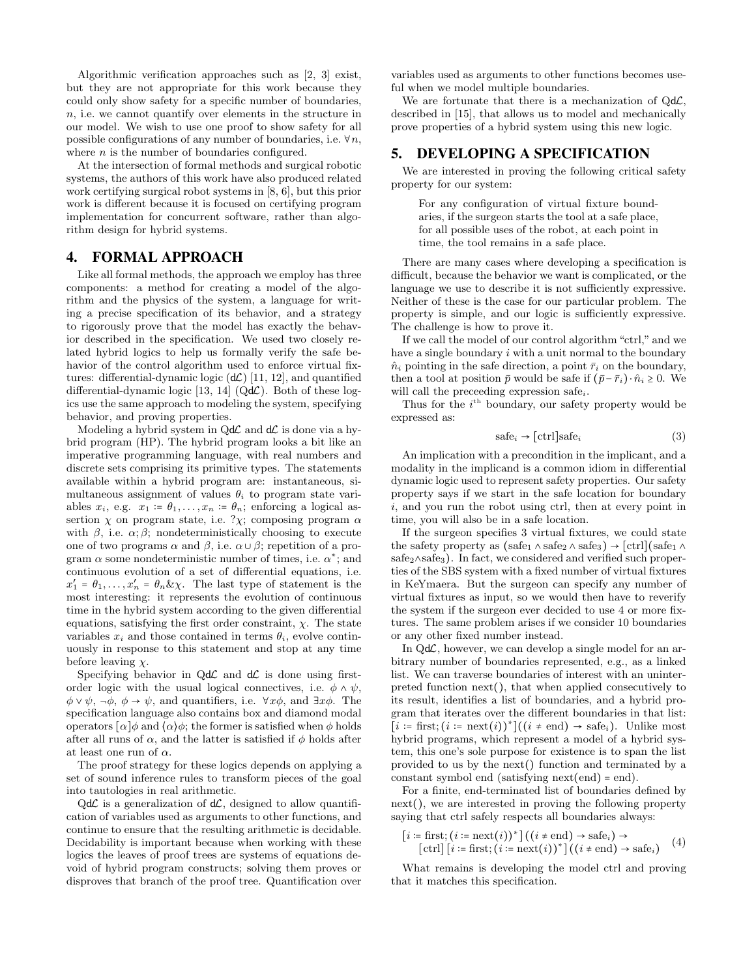Algorithmic verification approaches such as [2, 3] exist, but they are not appropriate for this work because they could only show safety for a specific number of boundaries,  $n$ , i.e. we cannot quantify over elements in the structure in our model. We wish to use one proof to show safety for all possible configurations of any number of boundaries, i.e.  $\forall n$ , where  $n$  is the number of boundaries configured.

At the intersection of formal methods and surgical robotic systems, the authors of this work have also produced related work certifying surgical robot systems in [8, 6], but this prior work is different because it is focused on certifying program implementation for concurrent software, rather than algorithm design for hybrid systems.

# 4. FORMAL APPROACH

Like all formal methods, the approach we employ has three components: a method for creating a model of the algorithm and the physics of the system, a language for writing a precise specification of its behavior, and a strategy to rigorously prove that the model has exactly the behavior described in the specification. We used two closely related hybrid logics to help us formally verify the safe behavior of the control algorithm used to enforce virtual fixtures: differential-dynamic logic  $(d\mathcal{L})$  [11, 12], and quantified differential-dynamic logic [13, 14]  $(Qd\mathcal{L})$ . Both of these logics use the same approach to modeling the system, specifying behavior, and proving properties.

Modeling a hybrid system in  $Qd\mathcal{L}$  and  $d\mathcal{L}$  is done via a hybrid program (HP). The hybrid program looks a bit like an imperative programming language, with real numbers and discrete sets comprising its primitive types. The statements available within a hybrid program are: instantaneous, simultaneous assignment of values  $\theta_i$  to program state variables  $x_i$ , e.g.  $x_1 := \theta_1, \ldots, x_n := \theta_n$ ; enforcing a logical assertion  $\chi$  on program state, i.e. ? $\chi$ ; composing program  $\alpha$ with  $\beta$ , i.e.  $\alpha$ ;  $\beta$ ; nondeterministically choosing to execute one of two programs  $\alpha$  and  $\beta$ , i.e.  $\alpha \cup \beta$ ; repetition of a program  $\alpha$  some nondeterministic number of times, i.e.  $\alpha^*$ ; and continuous evolution of a set of differential equations, i.e.  $x'_1 = \theta_1, \ldots, x'_n = \theta_n \& \chi$ . The last type of statement is the most interesting: it represents the evolution of continuous time in the hybrid system according to the given differential equations, satisfying the first order constraint,  $\chi$ . The state variables  $x_i$  and those contained in terms  $\theta_i$ , evolve continuously in response to this statement and stop at any time before leaving  $\chi$ .

Specifying behavior in  $Qd\mathcal{L}$  and  $d\mathcal{L}$  is done using firstorder logic with the usual logical connectives, i.e.  $\phi \wedge \psi$ ,  $\phi \vee \psi$ ,  $\neg \phi$ ,  $\phi \rightarrow \psi$ , and quantifiers, i.e.  $\forall x \phi$ , and  $\exists x \phi$ . The specification language also contains box and diamond modal operators  $\lceil \alpha \rceil \phi$  and  $\langle \alpha \rangle \phi$ ; the former is satisfied when  $\phi$  holds after all runs of  $\alpha$ , and the latter is satisfied if  $\phi$  holds after at least one run of  $\alpha$ .

The proof strategy for these logics depends on applying a set of sound inference rules to transform pieces of the goal into tautologies in real arithmetic.

 $Qd\mathcal{L}$  is a generalization of  $d\mathcal{L}$ , designed to allow quantification of variables used as arguments to other functions, and continue to ensure that the resulting arithmetic is decidable. Decidability is important because when working with these logics the leaves of proof trees are systems of equations devoid of hybrid program constructs; solving them proves or disproves that branch of the proof tree. Quantification over

variables used as arguments to other functions becomes useful when we model multiple boundaries.

We are fortunate that there is a mechanization of  $Qd\mathcal{L}$ , described in [15], that allows us to model and mechanically prove properties of a hybrid system using this new logic.

# 5. DEVELOPING A SPECIFICATION

We are interested in proving the following critical safety property for our system:

For any configuration of virtual fixture boundaries, if the surgeon starts the tool at a safe place, for all possible uses of the robot, at each point in time, the tool remains in a safe place.

There are many cases where developing a specification is difficult, because the behavior we want is complicated, or the language we use to describe it is not sufficiently expressive. Neither of these is the case for our particular problem. The property is simple, and our logic is sufficiently expressive. The challenge is how to prove it.

If we call the model of our control algorithm "ctrl," and we have a single boundary  $i$  with a unit normal to the boundary  $\hat{n}_i$  pointing in the safe direction, a point  $\bar{r}_i$  on the boundary, then a tool at position  $\bar{p}$  would be safe if  $(\bar{p}-\bar{r}_i) \cdot \hat{n}_i \geq 0$ . We will call the preceeding expression safe<sub>i</sub>.

Thus for the  $i<sup>th</sup>$  boundary, our safety property would be expressed as:

$$
safe_i \rightarrow [ctrl]safe_i \tag{3}
$$

An implication with a precondition in the implicant, and a modality in the implicand is a common idiom in differential dynamic logic used to represent safety properties. Our safety property says if we start in the safe location for boundary i, and you run the robot using ctrl, then at every point in time, you will also be in a safe location.

If the surgeon specifies 3 virtual fixtures, we could state the safety property as  $(safe<sub>1</sub> \land safe<sub>2</sub> \land safe<sub>3</sub>) \rightarrow [ctrl](safe<sub>1</sub> \land$ safe<sub>2</sub>∧safe<sub>3</sub>). In fact, we considered and verified such properties of the SBS system with a fixed number of virtual fixtures in KeYmaera. But the surgeon can specify any number of virtual fixtures as input, so we would then have to reverify the system if the surgeon ever decided to use 4 or more fixtures. The same problem arises if we consider 10 boundaries or any other fixed number instead.

In  $Qd\mathcal{L}$ , however, we can develop a single model for an arbitrary number of boundaries represented, e.g., as a linked list. We can traverse boundaries of interest with an uninterpreted function next(), that when applied consecutively to its result, identifies a list of boundaries, and a hybrid program that iterates over the different boundaries in that list:  $[i := \text{first}; (i := \text{next}(i))^*]((i \neq \text{end}) \rightarrow \text{safe}_i)$ . Unlike most hybrid programs, which represent a model of a hybrid system, this one's sole purpose for existence is to span the list provided to us by the next() function and terminated by a constant symbol end (satisfying next(end) = end).

For a finite, end-terminated list of boundaries defined by next(), we are interested in proving the following property saying that ctrl safely respects all boundaries always:

$$
[i := \text{first}; (i := \text{next}(i))^*] ((i \neq \text{end}) \rightarrow \text{safe}_i) \rightarrow
$$
  

$$
[\text{ctrl}][i := \text{first}; (i := \text{next}(i))^*] ((i \neq \text{end}) \rightarrow \text{safe}_i)
$$
 (4)

What remains is developing the model ctrl and proving that it matches this specification.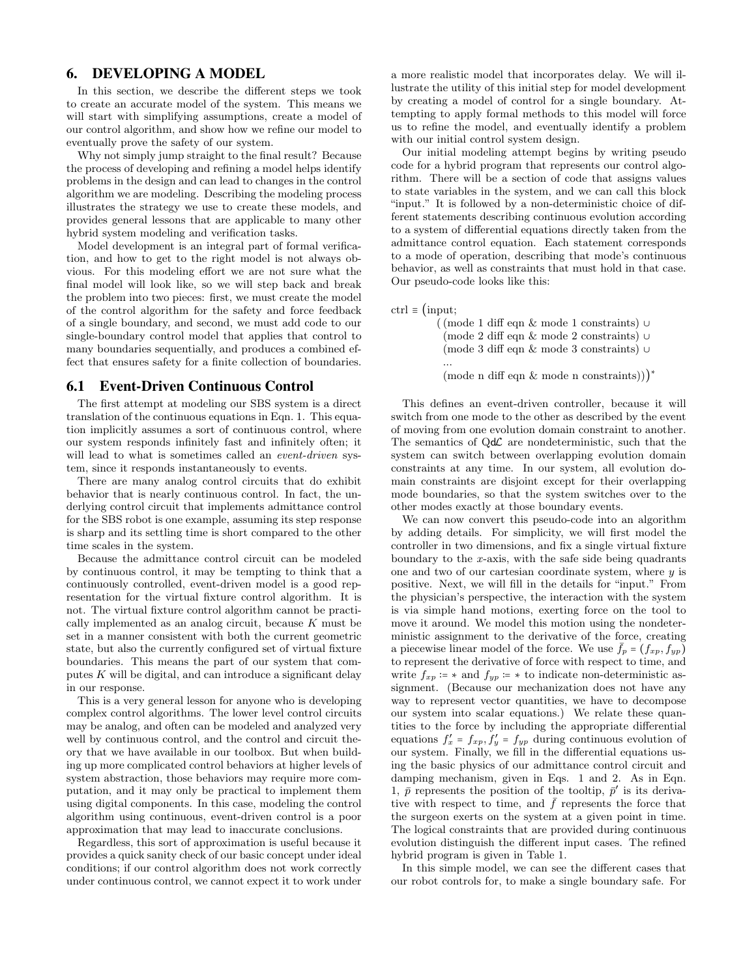# 6. DEVELOPING A MODEL

In this section, we describe the different steps we took to create an accurate model of the system. This means we will start with simplifying assumptions, create a model of our control algorithm, and show how we refine our model to eventually prove the safety of our system.

Why not simply jump straight to the final result? Because the process of developing and refining a model helps identify problems in the design and can lead to changes in the control algorithm we are modeling. Describing the modeling process illustrates the strategy we use to create these models, and provides general lessons that are applicable to many other hybrid system modeling and verification tasks.

Model development is an integral part of formal verification, and how to get to the right model is not always obvious. For this modeling effort we are not sure what the final model will look like, so we will step back and break the problem into two pieces: first, we must create the model of the control algorithm for the safety and force feedback of a single boundary, and second, we must add code to our single-boundary control model that applies that control to many boundaries sequentially, and produces a combined effect that ensures safety for a finite collection of boundaries.

# 6.1 Event-Driven Continuous Control

The first attempt at modeling our SBS system is a direct translation of the continuous equations in Eqn. 1. This equation implicitly assumes a sort of continuous control, where our system responds infinitely fast and infinitely often; it will lead to what is sometimes called an *event-driven* system, since it responds instantaneously to events.

There are many analog control circuits that do exhibit behavior that is nearly continuous control. In fact, the underlying control circuit that implements admittance control for the SBS robot is one example, assuming its step response is sharp and its settling time is short compared to the other time scales in the system.

Because the admittance control circuit can be modeled by continuous control, it may be tempting to think that a continuously controlled, event-driven model is a good representation for the virtual fixture control algorithm. It is not. The virtual fixture control algorithm cannot be practically implemented as an analog circuit, because  $K$  must be set in a manner consistent with both the current geometric state, but also the currently configured set of virtual fixture boundaries. This means the part of our system that computes  $K$  will be digital, and can introduce a significant delay in our response.

This is a very general lesson for anyone who is developing complex control algorithms. The lower level control circuits may be analog, and often can be modeled and analyzed very well by continuous control, and the control and circuit theory that we have available in our toolbox. But when building up more complicated control behaviors at higher levels of system abstraction, those behaviors may require more computation, and it may only be practical to implement them using digital components. In this case, modeling the control algorithm using continuous, event-driven control is a poor approximation that may lead to inaccurate conclusions.

Regardless, this sort of approximation is useful because it provides a quick sanity check of our basic concept under ideal conditions; if our control algorithm does not work correctly under continuous control, we cannot expect it to work under a more realistic model that incorporates delay. We will illustrate the utility of this initial step for model development by creating a model of control for a single boundary. Attempting to apply formal methods to this model will force us to refine the model, and eventually identify a problem with our initial control system design.

Our initial modeling attempt begins by writing pseudo code for a hybrid program that represents our control algorithm. There will be a section of code that assigns values to state variables in the system, and we can call this block "input." It is followed by a non-deterministic choice of different statements describing continuous evolution according to a system of differential equations directly taken from the admittance control equation. Each statement corresponds to a mode of operation, describing that mode's continuous behavior, as well as constraints that must hold in that case. Our pseudo-code looks like this:

 $ctrl \equiv (input;$ 

( (mode 1 diff eqn & mode 1 constraints) ∪ (mode 2 diff eqn & mode 2 constraints) ∪ (mode 3 diff eqn & mode 3 constraints) ∪ ...

(mode n diff eqn & mode n constraints))) ∗

This defines an event-driven controller, because it will switch from one mode to the other as described by the event of moving from one evolution domain constraint to another. The semantics of  $Qd\mathcal{L}$  are nondeterministic, such that the system can switch between overlapping evolution domain constraints at any time. In our system, all evolution domain constraints are disjoint except for their overlapping mode boundaries, so that the system switches over to the other modes exactly at those boundary events.

We can now convert this pseudo-code into an algorithm by adding details. For simplicity, we will first model the controller in two dimensions, and fix a single virtual fixture boundary to the x-axis, with the safe side being quadrants one and two of our cartesian coordinate system, where  $y$  is positive. Next, we will fill in the details for "input." From the physician's perspective, the interaction with the system is via simple hand motions, exerting force on the tool to move it around. We model this motion using the nondeterministic assignment to the derivative of the force, creating a piecewise linear model of the force. We use  $\bar{f}_p = (f_{xp}, f_{yp})$ to represent the derivative of force with respect to time, and write  $f_{xp}$  := \* and  $f_{yp}$  := \* to indicate non-deterministic assignment. (Because our mechanization does not have any way to represent vector quantities, we have to decompose our system into scalar equations.) We relate these quantities to the force by including the appropriate differential equations  $f'_x = f_{xp}, f'_y = f_{yp}$  during continuous evolution of our system. Finally, we fill in the differential equations using the basic physics of our admittance control circuit and damping mechanism, given in Eqs. 1 and 2. As in Eqn. 1,  $\bar{p}$  represents the position of the tooltip,  $\bar{p}'$  is its derivative with respect to time, and  $f$  represents the force that the surgeon exerts on the system at a given point in time. The logical constraints that are provided during continuous evolution distinguish the different input cases. The refined hybrid program is given in Table 1.

In this simple model, we can see the different cases that our robot controls for, to make a single boundary safe. For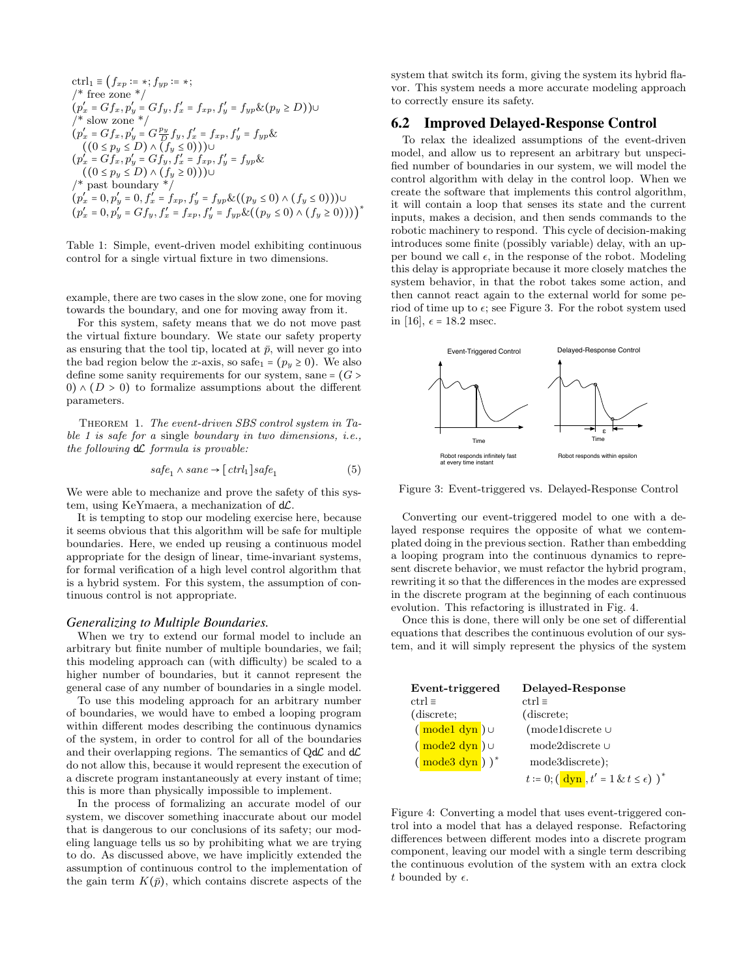$$
\begin{aligned}\n\text{ctrl}_1 &\equiv \left(f_{xp} := *; f_{yp} := *; \right. \\
\left\langle \begin{array}{c} \n\gamma & \text{free zone} \end{array} \right. & \left\langle \begin{array}{c} p'_{x} = Gf_{x}, p'_{y} = Gf_{y}, f'_{x} = f_{xp}, f'_{y} = f_{yp} \& (p_{y} \ge D) \right) \cup \\
\left\langle \begin{array}{c} \n\gamma & \text{slow one} \end{array} \right. & \left\langle \begin{array}{c} p'_{x} = Gf_{x}, p'_{y} = G\frac{p_{y}}{D}f_{y}, f'_{x} = f_{xp}, f'_{y} = f_{yp} \& \\
\left\langle \begin{array}{c} (0 \le p_{y} \le D) \land (f_{y} \le 0) \end{array} \right) \right) \cup \\
\left\langle p'_{x} = Gf_{x}, p'_{y} = Gf_{y}, f'_{x} = f_{xp}, f'_{y} = f_{yp} \& \\
\left\langle \begin{array}{c} (0 \le p_{y} \le D) \land (f_{y} \ge 0) \end{array} \right) \right) \cup \\
\left\langle \begin{array}{c} \n\gamma & \text{most boundary} \end{array} \right. & \left\langle \begin{array}{c} p'_{y} = f_{yp} \& \left( \begin{array}{c} (p_{y} \le 0) \land (f_{y} \le 0) \end{array} \right) \right) \cup \\
\left\langle p'_{x} = 0, p'_{y} = 0, f'_{x} = f_{xp}, f'_{y} = f_{yp} \& \left( \begin{array}{c} (p_{y} \le 0) \land (f_{y} \ge 0) \end{array} \right) \right) \right)\n\end{aligned}
$$

Table 1: Simple, event-driven model exhibiting continuous control for a single virtual fixture in two dimensions.

∗

example, there are two cases in the slow zone, one for moving towards the boundary, and one for moving away from it.

For this system, safety means that we do not move past the virtual fixture boundary. We state our safety property as ensuring that the tool tip, located at  $\bar{p}$ , will never go into the bad region below the x-axis, so safe<sub>1</sub> =  $(p_y \ge 0)$ . We also define some sanity requirements for our system, sane =  $(G >$ 0)  $\wedge$  (D > 0) to formalize assumptions about the different parameters.

THEOREM 1. The event-driven SBS control system in Table 1 is safe for a single boundary in two dimensions, *i.e.*, the following  $d\mathcal{L}$  formula is provable:

$$
safe_1 \land sane \rightarrow [ctrl_1]safe_1 \tag{5}
$$

We were able to mechanize and prove the safety of this system, using KeYmaera, a mechanization of dL.

It is tempting to stop our modeling exercise here, because it seems obvious that this algorithm will be safe for multiple boundaries. Here, we ended up reusing a continuous model appropriate for the design of linear, time-invariant systems, for formal verification of a high level control algorithm that is a hybrid system. For this system, the assumption of continuous control is not appropriate.

## *Generalizing to Multiple Boundaries.*

When we try to extend our formal model to include an arbitrary but finite number of multiple boundaries, we fail; this modeling approach can (with difficulty) be scaled to a higher number of boundaries, but it cannot represent the general case of any number of boundaries in a single model.

To use this modeling approach for an arbitrary number of boundaries, we would have to embed a looping program within different modes describing the continuous dynamics of the system, in order to control for all of the boundaries and their overlapping regions. The semantics of  $Qd\mathcal{L}$  and  $d\mathcal{L}$ do not allow this, because it would represent the execution of a discrete program instantaneously at every instant of time; this is more than physically impossible to implement.

In the process of formalizing an accurate model of our system, we discover something inaccurate about our model that is dangerous to our conclusions of its safety; our modeling language tells us so by prohibiting what we are trying to do. As discussed above, we have implicitly extended the assumption of continuous control to the implementation of the gain term  $K(\bar{p})$ , which contains discrete aspects of the

system that switch its form, giving the system its hybrid flavor. This system needs a more accurate modeling approach to correctly ensure its safety.

## 6.2 Improved Delayed-Response Control

To relax the idealized assumptions of the event-driven model, and allow us to represent an arbitrary but unspecified number of boundaries in our system, we will model the control algorithm with delay in the control loop. When we create the software that implements this control algorithm, it will contain a loop that senses its state and the current inputs, makes a decision, and then sends commands to the robotic machinery to respond. This cycle of decision-making introduces some finite (possibly variable) delay, with an upper bound we call  $\epsilon$ , in the response of the robot. Modeling this delay is appropriate because it more closely matches the system behavior, in that the robot takes some action, and then cannot react again to the external world for some period of time up to  $\epsilon$ ; see Figure 3. For the robot system used in [16],  $\epsilon = 18.2$  msec.



Figure 3: Event-triggered vs. Delayed-Response Control

Converting our event-triggered model to one with a delayed response requires the opposite of what we contemplated doing in the previous section. Rather than embedding a looping program into the continuous dynamics to represent discrete behavior, we must refactor the hybrid program, rewriting it so that the differences in the modes are expressed in the discrete program at the beginning of each continuous evolution. This refactoring is illustrated in Fig. 4.

Once this is done, there will only be one set of differential equations that describes the continuous evolution of our system, and it will simply represent the physics of the system

| Event-triggered                        | Delayed-Response                                                  |
|----------------------------------------|-------------------------------------------------------------------|
| $ctrl \equiv$                          | $ctrl \equiv$                                                     |
| (discrete;                             | (discrete;                                                        |
| $(\text{model dyn})$                   | $(moded discrete \cup$                                            |
| $(\text{mode2 dyn})$                   | $mode2discrete \cup$                                              |
| $\left(\bmod\ 3 \text{ dyn}\right)$ )* | mode3discrete);                                                   |
|                                        | $t = 0; (\frac{dyn}{t}, t' = 1 \& t \leq \epsilon))$ <sup>*</sup> |

Figure 4: Converting a model that uses event-triggered control into a model that has a delayed response. Refactoring differences between different modes into a discrete program component, leaving our model with a single term describing the continuous evolution of the system with an extra clock t bounded by  $\epsilon$ .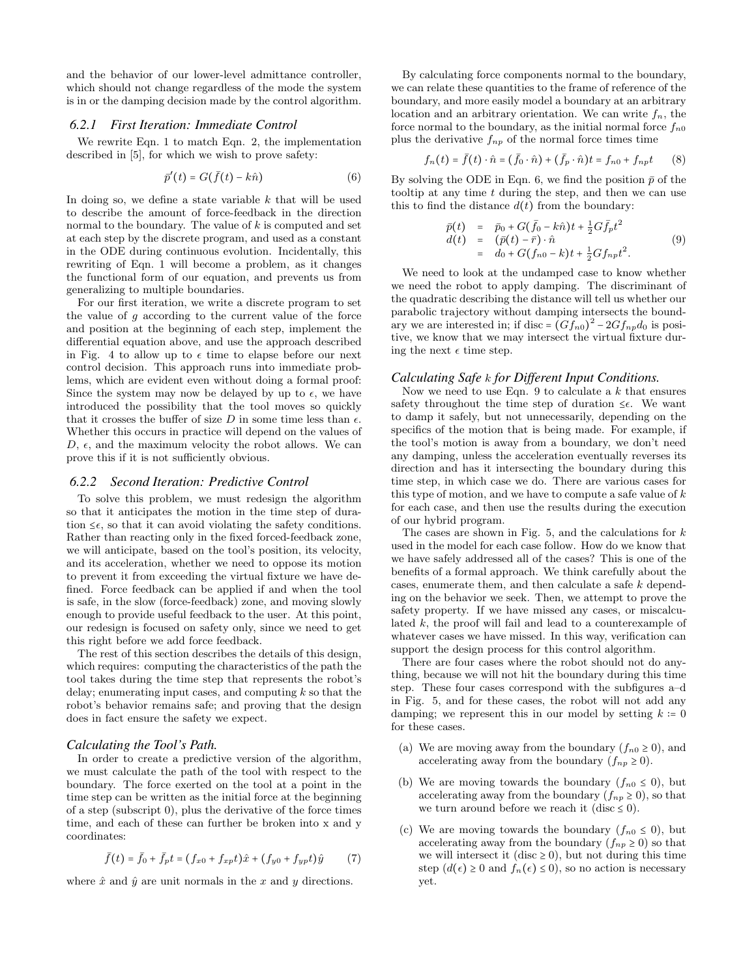and the behavior of our lower-level admittance controller, which should not change regardless of the mode the system is in or the damping decision made by the control algorithm.

#### *6.2.1 First Iteration: Immediate Control*

We rewrite Eqn. 1 to match Eqn. 2, the implementation described in [5], for which we wish to prove safety:

$$
\bar{p}'(t) = G(\bar{f}(t) - k\hat{n})\tag{6}
$$

In doing so, we define a state variable  $k$  that will be used to describe the amount of force-feedback in the direction normal to the boundary. The value of  $k$  is computed and set at each step by the discrete program, and used as a constant in the ODE during continuous evolution. Incidentally, this rewriting of Eqn. 1 will become a problem, as it changes the functional form of our equation, and prevents us from generalizing to multiple boundaries.

For our first iteration, we write a discrete program to set the value of  $q$  according to the current value of the force and position at the beginning of each step, implement the differential equation above, and use the approach described in Fig. 4 to allow up to  $\epsilon$  time to elapse before our next control decision. This approach runs into immediate problems, which are evident even without doing a formal proof: Since the system may now be delayed by up to  $\epsilon$ , we have introduced the possibility that the tool moves so quickly that it crosses the buffer of size D in some time less than  $\epsilon$ . Whether this occurs in practice will depend on the values of  $D, \epsilon$ , and the maximum velocity the robot allows. We can prove this if it is not sufficiently obvious.

#### *6.2.2 Second Iteration: Predictive Control*

To solve this problem, we must redesign the algorithm so that it anticipates the motion in the time step of duration  $\leq \epsilon$ , so that it can avoid violating the safety conditions. Rather than reacting only in the fixed forced-feedback zone, we will anticipate, based on the tool's position, its velocity, and its acceleration, whether we need to oppose its motion to prevent it from exceeding the virtual fixture we have defined. Force feedback can be applied if and when the tool is safe, in the slow (force-feedback) zone, and moving slowly enough to provide useful feedback to the user. At this point, our redesign is focused on safety only, since we need to get this right before we add force feedback.

The rest of this section describes the details of this design, which requires: computing the characteristics of the path the tool takes during the time step that represents the robot's delay; enumerating input cases, and computing  $k$  so that the robot's behavior remains safe; and proving that the design does in fact ensure the safety we expect.

#### *Calculating the Tool's Path.*

In order to create a predictive version of the algorithm, we must calculate the path of the tool with respect to the boundary. The force exerted on the tool at a point in the time step can be written as the initial force at the beginning of a step (subscript 0), plus the derivative of the force times time, and each of these can further be broken into x and y coordinates:

$$
\bar{f}(t) = \bar{f}_0 + \bar{f}_p t = (f_{x0} + f_{xp}t)\hat{x} + (f_{y0} + f_{yp}t)\hat{y}
$$
 (7)

where  $\hat{x}$  and  $\hat{y}$  are unit normals in the x and y directions.

By calculating force components normal to the boundary, we can relate these quantities to the frame of reference of the boundary, and more easily model a boundary at an arbitrary location and an arbitrary orientation. We can write  $f_n$ , the force normal to the boundary, as the initial normal force  $f_{n0}$ plus the derivative  $f_{np}$  of the normal force times time

$$
f_n(t) = \bar{f}(t) \cdot \hat{n} = (\bar{f}_0 \cdot \hat{n}) + (\bar{f}_p \cdot \hat{n})t = f_{n0} + f_{np}t \qquad (8)
$$

By solving the ODE in Eqn. 6, we find the position  $\bar{p}$  of the tooltip at any time  $t$  during the step, and then we can use this to find the distance  $d(t)$  from the boundary:

$$
\begin{array}{rcl}\n\bar{p}(t) & = & \bar{p}_0 + G(\bar{f}_0 - k\hat{n})t + \frac{1}{2}G\bar{f}_p t^2 \\
d(t) & = & (\bar{p}(t) - \bar{r}) \cdot \hat{n} \\
& = & d_0 + G(f_{n0} - k)t + \frac{1}{2}Gf_{np}t^2.\n\end{array} \tag{9}
$$

We need to look at the undamped case to know whether we need the robot to apply damping. The discriminant of the quadratic describing the distance will tell us whether our parabolic trajectory without damping intersects the boundary we are interested in; if disc =  $(\widehat{Gf}_{n0})^2 - 2\widehat{Gf}_{np}d_0$  is positive, we know that we may intersect the virtual fixture during the next  $\epsilon$  time step.

## *Calculating Safe* k *for Different Input Conditions.*

Now we need to use Eqn. 9 to calculate a  $k$  that ensures safety throughout the time step of duration  $\leq \epsilon$ . We want to damp it safely, but not unnecessarily, depending on the specifics of the motion that is being made. For example, if the tool's motion is away from a boundary, we don't need any damping, unless the acceleration eventually reverses its direction and has it intersecting the boundary during this time step, in which case we do. There are various cases for this type of motion, and we have to compute a safe value of  $k$ for each case, and then use the results during the execution of our hybrid program.

The cases are shown in Fig. 5, and the calculations for  $k$ used in the model for each case follow. How do we know that we have safely addressed all of the cases? This is one of the benefits of a formal approach. We think carefully about the cases, enumerate them, and then calculate a safe k depending on the behavior we seek. Then, we attempt to prove the safety property. If we have missed any cases, or miscalculated k, the proof will fail and lead to a counterexample of whatever cases we have missed. In this way, verification can support the design process for this control algorithm.

There are four cases where the robot should not do anything, because we will not hit the boundary during this time step. These four cases correspond with the subfigures a–d in Fig. 5, and for these cases, the robot will not add any damping; we represent this in our model by setting  $k = 0$ for these cases.

- (a) We are moving away from the boundary  $(f_{n0} \geq 0)$ , and accelerating away from the boundary  $(f_{np} \geq 0)$ .
- (b) We are moving towards the boundary  $(f_{n0} \leq 0)$ , but accelerating away from the boundary  $(f_{np} \geq 0)$ , so that we turn around before we reach it (disc  $\leq 0$ ).
- (c) We are moving towards the boundary  $(f_{n0} \leq 0)$ , but accelerating away from the boundary  $(f_{np} \geq 0)$  so that we will intersect it (disc  $\geq$  0), but not during this time step  $(d(\epsilon) \geq 0$  and  $f_n(\epsilon) \leq 0)$ , so no action is necessary yet.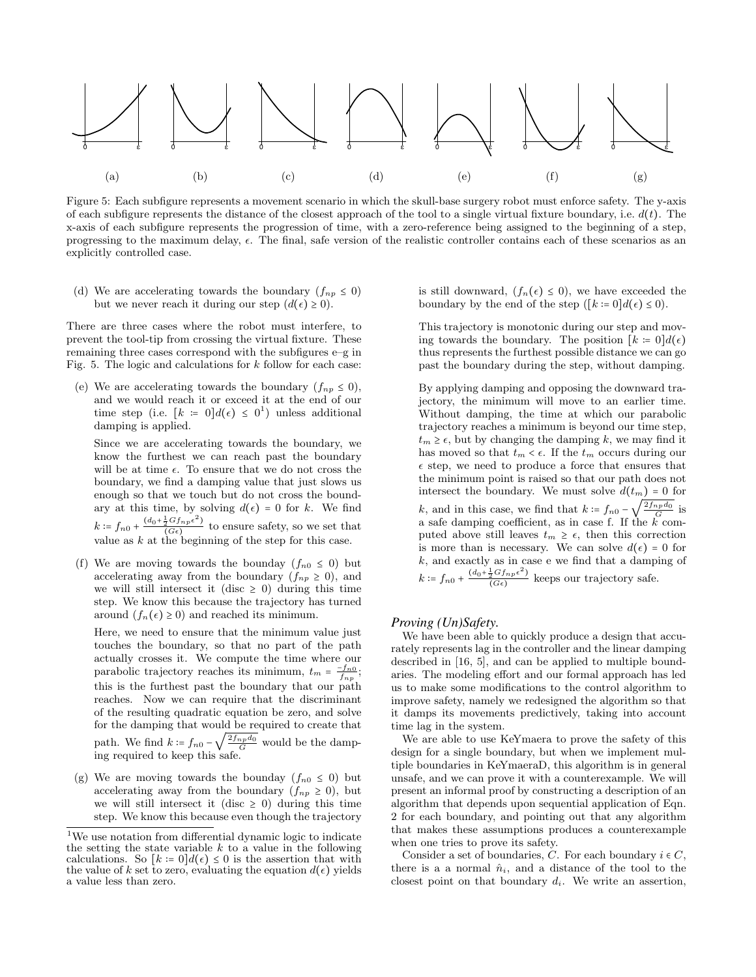

Figure 5: Each subfigure represents a movement scenario in which the skull-base surgery robot must enforce safety. The y-axis of each subfigure represents the distance of the closest approach of the tool to a single virtual fixture boundary, i.e.  $d(t)$ . The x-axis of each subfigure represents the progression of time, with a zero-reference being assigned to the beginning of a step, progressing to the maximum delay,  $\epsilon$ . The final, safe version of the realistic controller contains each of these scenarios as an explicitly controlled case.

(d) We are accelerating towards the boundary  $(f_{np} \leq 0)$ but we never reach it during our step  $(d(\epsilon) \geq 0)$ .

There are three cases where the robot must interfere, to prevent the tool-tip from crossing the virtual fixture. These remaining three cases correspond with the subfigures e–g in Fig. 5. The logic and calculations for  $k$  follow for each case:

(e) We are accelerating towards the boundary  $(f_{np} \leq 0)$ , and we would reach it or exceed it at the end of our time step (i.e.  $[k := 0]d(\epsilon) \leq 0^1$ ) unless additional damping is applied.

Since we are accelerating towards the boundary, we know the furthest we can reach past the boundary will be at time  $\epsilon$ . To ensure that we do not cross the boundary, we find a damping value that just slows us enough so that we touch but do not cross the boundary at this time, by solving  $d(\epsilon) = 0$  for k. We find  $k \coloneqq f_{n0} + \frac{(d_0 + \frac{1}{2} G f_{n p} \epsilon^2)}{(G \epsilon)}$  $\frac{1}{G(\epsilon)}$  to ensure safety, so we set that value as  $k$  at the beginning of the step for this case.

(f) We are moving towards the bounday  $(f_{n0} \leq 0)$  but accelerating away from the boundary  $(f_{np} \geq 0)$ , and we will still intersect it (disc  $\geq$  0) during this time step. We know this because the trajectory has turned around  $(f_n(\epsilon) \geq 0)$  and reached its minimum.

Here, we need to ensure that the minimum value just touches the boundary, so that no part of the path actually crosses it. We compute the time where our parabolic trajectory reaches its minimum,  $t_m = \frac{-f_{n0}}{f_{np}}$ ; this is the furthest past the boundary that our path reaches. Now we can require that the discriminant of the resulting quadratic equation be zero, and solve for the damping that would be required to create that path. We find  $k := f_{n0} - \sqrt{\frac{2f_{np}d_0}{G}}$  would be the damp-<br>ing required to keep this safe.

(g) We are moving towards the bounday  $(f_{n0} \leq 0)$  but accelerating away from the boundary  $(f_{np} \geq 0)$ , but we will still intersect it (disc  $\geq$  0) during this time step. We know this because even though the trajectory is still downward,  $(f_n(\epsilon) \leq 0)$ , we have exceeded the boundary by the end of the step ( $[k := 0]d(\epsilon) \le 0$ ).

This trajectory is monotonic during our step and moving towards the boundary. The position  $[k := 0]d(\epsilon)$ thus represents the furthest possible distance we can go past the boundary during the step, without damping.

By applying damping and opposing the downward trajectory, the minimum will move to an earlier time. Without damping, the time at which our parabolic trajectory reaches a minimum is beyond our time step,  $t_m \geq \epsilon$ , but by changing the damping k, we may find it has moved so that  $t_m < \epsilon$ . If the  $t_m$  occurs during our  $\epsilon$  step, we need to produce a force that ensures that the minimum point is raised so that our path does not intersect the boundary. We must solve  $d(t_m) = 0$  for the boundary. We must solve  $a(t_m) = 0$  for  $k$ , and in this case, we find that  $k = f_{n0} - \sqrt{\frac{2f_{np}d_0}{G}}$  is a safe damping coefficient, as in case f. If the  $k$  computed above still leaves  $t_m \geq \epsilon$ , then this correction is more than is necessary. We can solve  $d(\epsilon) = 0$  for k, and exactly as in case e we find that a damping of  $k \coloneqq f_{n0} + \frac{(d_0 + \frac{1}{2} G f_{np} \epsilon^2)}{(G \epsilon)}$  $\frac{\overline{a}^{Gf_{npe}}}{(G\epsilon)}$  keeps our trajectory safe.

## *Proving (Un)Safety.*

We have been able to quickly produce a design that accurately represents lag in the controller and the linear damping described in [16, 5], and can be applied to multiple boundaries. The modeling effort and our formal approach has led us to make some modifications to the control algorithm to improve safety, namely we redesigned the algorithm so that it damps its movements predictively, taking into account time lag in the system.

We are able to use KeYmaera to prove the safety of this design for a single boundary, but when we implement multiple boundaries in KeYmaeraD, this algorithm is in general unsafe, and we can prove it with a counterexample. We will present an informal proof by constructing a description of an algorithm that depends upon sequential application of Eqn. 2 for each boundary, and pointing out that any algorithm that makes these assumptions produces a counterexample when one tries to prove its safety.

Consider a set of boundaries, C. For each boundary  $i \in C$ , there is a a normal  $\hat{n}_i$ , and a distance of the tool to the closest point on that boundary  $d_i$ . We write an assertion,

 $^1\rm{We}$  use notation from differential dynamic logic to indicate the setting the state variable  $k$  to a value in the following calculations. So  $[k := 0]d(\epsilon) \leq 0$  is the assertion that with the value of k set to zero, evaluating the equation  $d(\epsilon)$  yields a value less than zero.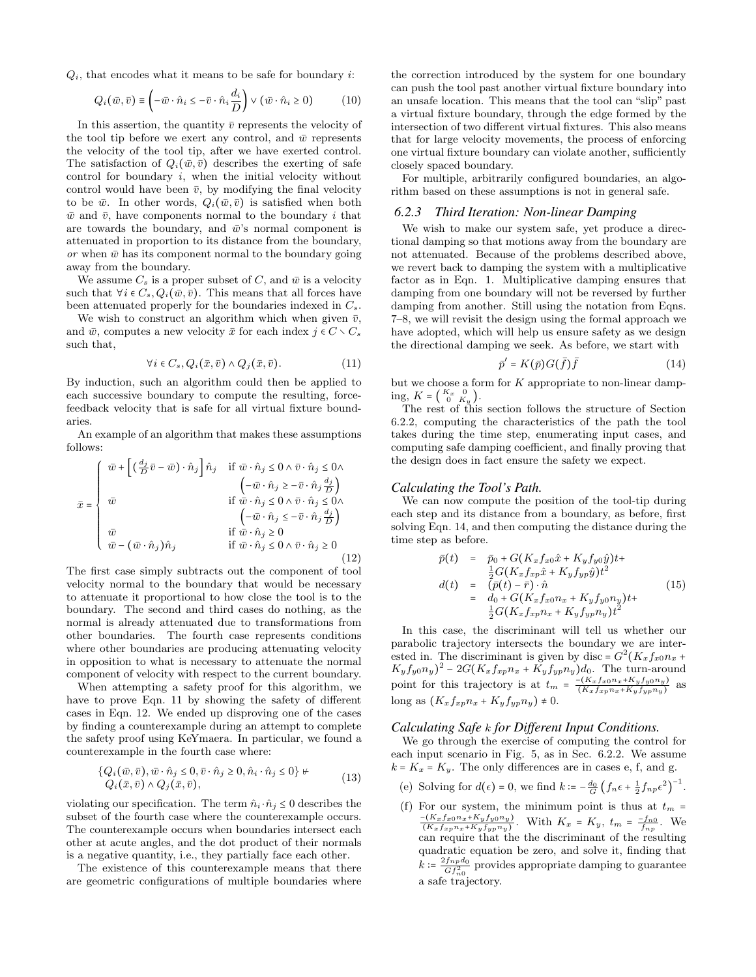$Q_i$ , that encodes what it means to be safe for boundary i:

$$
Q_i(\bar{w}, \bar{v}) \equiv \left(-\bar{w} \cdot \hat{n}_i \leq -\bar{v} \cdot \hat{n}_i \frac{d_i}{D}\right) \vee (\bar{w} \cdot \hat{n}_i \geq 0)
$$
 (10)

In this assertion, the quantity  $\bar{v}$  represents the velocity of the tool tip before we exert any control, and  $\bar{w}$  represents the velocity of the tool tip, after we have exerted control. The satisfaction of  $Q_i(\bar{w}, \bar{v})$  describes the exerting of safe control for boundary  $i$ , when the initial velocity without control would have been  $\bar{v}$ , by modifying the final velocity to be  $\bar{w}$ . In other words,  $Q_i(\bar{w}, \bar{v})$  is satisfied when both  $\bar{w}$  and  $\bar{v}$ , have components normal to the boundary i that are towards the boundary, and  $\bar{w}$ 's normal component is attenuated in proportion to its distance from the boundary, or when  $\bar{w}$  has its component normal to the boundary going away from the boundary.

We assume  $C_s$  is a proper subset of C, and  $\bar{w}$  is a velocity such that  $\forall i \in C_s, Q_i(\bar{w}, \bar{v})$ . This means that all forces have been attenuated properly for the boundaries indexed in  $C_s$ .

We wish to construct an algorithm which when given  $\bar{v}$ , and  $\bar{w}$ , computes a new velocity  $\bar{x}$  for each index  $j \in C \setminus C_s$ such that,

$$
\forall i \in C_s, Q_i(\bar{x}, \bar{v}) \land Q_j(\bar{x}, \bar{v}). \tag{11}
$$

By induction, such an algorithm could then be applied to each successive boundary to compute the resulting, forcefeedback velocity that is safe for all virtual fixture boundaries.

An example of an algorithm that makes these assumptions follows:

$$
\bar{x} = \begin{cases}\n\bar{w} + \left[ \left( \frac{d_j}{D} \bar{v} - \bar{w} \right) \cdot \hat{n}_j \right] \hat{n}_j & \text{if } \bar{w} \cdot \hat{n}_j \le 0 \wedge \bar{v} \cdot \hat{n}_j \le 0 \wedge \\
& \left( -\bar{w} \cdot \hat{n}_j \ge -\bar{v} \cdot \hat{n}_j \frac{d_j}{D} \right) \\
\bar{w} & \text{if } \bar{w} \cdot \hat{n}_j \le 0 \wedge \bar{v} \cdot \hat{n}_j \le 0 \wedge \\
& \left( -\bar{w} \cdot \hat{n}_j \le 0 \wedge \bar{v} \cdot \hat{n}_j \le 0 \wedge \\
& \left( -\bar{w} \cdot \hat{n}_j \le -\bar{v} \cdot \hat{n}_j \frac{d_j}{D} \right) \\
\bar{w} & \text{if } \bar{w} \cdot \hat{n}_j \ge 0 \\
\bar{w} - (\bar{w} \cdot \hat{n}_j) \hat{n}_j & \text{if } \bar{w} \cdot \hat{n}_j \le 0 \wedge \bar{v} \cdot \hat{n}_j \ge 0\n\end{cases}
$$
\n(12)

The first case simply subtracts out the component of tool velocity normal to the boundary that would be necessary to attenuate it proportional to how close the tool is to the boundary. The second and third cases do nothing, as the normal is already attenuated due to transformations from other boundaries. The fourth case represents conditions where other boundaries are producing attenuating velocity in opposition to what is necessary to attenuate the normal component of velocity with respect to the current boundary.

When attempting a safety proof for this algorithm, we have to prove Eqn. 11 by showing the safety of different cases in Eqn. 12. We ended up disproving one of the cases by finding a counterexample during an attempt to complete the safety proof using KeYmaera. In particular, we found a counterexample in the fourth case where:

$$
\{Q_i(\bar{w}, \bar{v}), \bar{w} \cdot \hat{n}_j \le 0, \bar{v} \cdot \hat{n}_j \ge 0, \hat{n}_i \cdot \hat{n}_j \le 0\} \nvdash
$$
\n
$$
Q_i(\bar{x}, \bar{v}) \wedge Q_j(\bar{x}, \bar{v}),
$$
\n(13)

violating our specification. The term  $\hat{n}_i \cdot \hat{n}_j \leq 0$  describes the subset of the fourth case where the counterexample occurs. The counterexample occurs when boundaries intersect each other at acute angles, and the dot product of their normals is a negative quantity, i.e., they partially face each other.

The existence of this counterexample means that there are geometric configurations of multiple boundaries where

the correction introduced by the system for one boundary can push the tool past another virtual fixture boundary into an unsafe location. This means that the tool can "slip" past a virtual fixture boundary, through the edge formed by the intersection of two different virtual fixtures. This also means that for large velocity movements, the process of enforcing one virtual fixture boundary can violate another, sufficiently closely spaced boundary.

For multiple, arbitrarily configured boundaries, an algorithm based on these assumptions is not in general safe.

## *6.2.3 Third Iteration: Non-linear Damping*

We wish to make our system safe, yet produce a directional damping so that motions away from the boundary are not attenuated. Because of the problems described above, we revert back to damping the system with a multiplicative factor as in Eqn. 1. Multiplicative damping ensures that damping from one boundary will not be reversed by further damping from another. Still using the notation from Eqns. 7–8, we will revisit the design using the formal approach we have adopted, which will help us ensure safety as we design the directional damping we seek. As before, we start with

$$
\bar{p}' = K(\bar{p})G(\bar{f})\bar{f} \tag{14}
$$

but we choose a form for  $K$  appropriate to non-linear damping,  $K = \begin{pmatrix} K_x & 0 \\ 0 & K_y \end{pmatrix}$ .

The rest of this section follows the structure of Section 6.2.2, computing the characteristics of the path the tool takes during the time step, enumerating input cases, and computing safe damping coefficient, and finally proving that the design does in fact ensure the safety we expect.

#### *Calculating the Tool's Path.*

We can now compute the position of the tool-tip during each step and its distance from a boundary, as before, first solving Eqn. 14, and then computing the distance during the time step as before.

$$
\bar{p}(t) = \bar{p}_0 + G(K_x f_{x0} \hat{x} + K_y f_{y0} \hat{y}) t + \n\frac{1}{2} G(K_x f_{xp} \hat{x} + K_y f_{yp} \hat{y}) t^2 \nd(t) = (\bar{p}(t) - \bar{r}) \cdot \hat{n} \n= d_0 + G(K_x f_{x0} n_x + K_y f_{y0} n_y) t + \n\frac{1}{2} G(K_x f_{xp} n_x + K_y f_{yp} n_y) t^2
$$
\n(15)

In this case, the discriminant will tell us whether our parabolic trajectory intersects the boundary we are interested in. The discriminant is given by disc =  $G^2(K_x f_{x0} n_x +$  $K_y f_{y0} n_y$ <sup>2</sup> – 2G( $K_x f_{xp} n_x$  +  $K_y f_{yp} n_y$ ) $d_0$ . The turn-around point for this trajectory is at  $t_m = \frac{-(K_x f_{x0} n_x + K_y f_{y0} n_y)}{(K_x f_{x0} n_x + K_y f_{y0} n_y)}$  $\frac{-(K_x f_x) n_x + K_y f_y n_y y}{(K_x f_{x} p_n_x + K_y f_{y} p_n_y)}$  as long as  $(K_xf_{xp}n_x + K_yf_{yp}n_y) \neq 0$ .

## *Calculating Safe* k *for Different Input Conditions.*

We go through the exercise of computing the control for each input scenario in Fig. 5, as in Sec. 6.2.2. We assume  $k = K_x = K_y$ . The only differences are in cases e, f, and g.

- (e) Solving for  $d(\epsilon) = 0$ , we find  $k := -\frac{d_0}{G} \left( f_n \epsilon + \frac{1}{2} f_{np} \epsilon^2 \right)^{-1}$ .
- (f) For our system, the minimum point is thus at  $t_m$  =  $-(K_xf_{x0}n_x+K_yf_{y0}n_y)$  $\frac{-(K_x f_{x0} n_x + K_y f_{y0} n_y)}{(K_x f_{xp} n_x + K_y f_{yp} n_y)}$ . With  $K_x = K_y$ ,  $t_m = \frac{-f_{n0}}{f_{np}}$ . We can require that the the discriminant of the resulting quadratic equation be zero, and solve it, finding that  $k \coloneqq \frac{2f_{np}d_0}{Gf_{n0}^2}$  provides appropriate damping to guarantee a safe trajectory.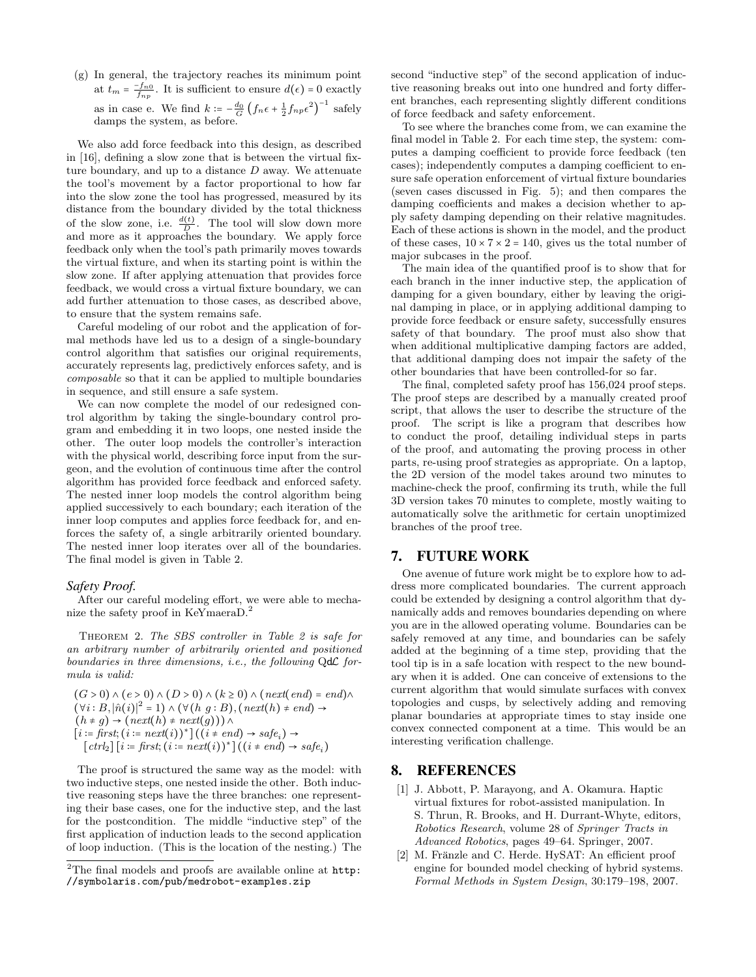(g) In general, the trajectory reaches its minimum point at  $t_m = \frac{-f_{n0}}{f_{np}}$ . It is sufficient to ensure  $d(\epsilon) = 0$  exactly as in case e. We find  $k := -\frac{d_0}{G} \left( f_n \epsilon + \frac{1}{2} f_{np} \epsilon^2 \right)^{-1}$  safely damps the system, as before.

We also add force feedback into this design, as described in [16], defining a slow zone that is between the virtual fixture boundary, and up to a distance  $D$  away. We attenuate the tool's movement by a factor proportional to how far into the slow zone the tool has progressed, measured by its distance from the boundary divided by the total thickness of the slow zone, i.e.  $\frac{d(t)}{D}$ . The tool will slow down more and more as it approaches the boundary. We apply force feedback only when the tool's path primarily moves towards the virtual fixture, and when its starting point is within the slow zone. If after applying attenuation that provides force feedback, we would cross a virtual fixture boundary, we can add further attenuation to those cases, as described above, to ensure that the system remains safe.

Careful modeling of our robot and the application of formal methods have led us to a design of a single-boundary control algorithm that satisfies our original requirements, accurately represents lag, predictively enforces safety, and is composable so that it can be applied to multiple boundaries in sequence, and still ensure a safe system.

We can now complete the model of our redesigned control algorithm by taking the single-boundary control program and embedding it in two loops, one nested inside the other. The outer loop models the controller's interaction with the physical world, describing force input from the surgeon, and the evolution of continuous time after the control algorithm has provided force feedback and enforced safety. The nested inner loop models the control algorithm being applied successively to each boundary; each iteration of the inner loop computes and applies force feedback for, and enforces the safety of, a single arbitrarily oriented boundary. The nested inner loop iterates over all of the boundaries. The final model is given in Table 2.

#### *Safety Proof.*

After our careful modeling effort, we were able to mechanize the safety proof in KeYmaeraD.<sup>2</sup>

THEOREM 2. The SBS controller in Table 2 is safe for an arbitrary number of arbitrarily oriented and positioned boundaries in three dimensions, i.e., the following  $Qd\mathcal{L}$  formula is valid:

 $(G > 0) \wedge (e > 0) \wedge (D > 0) \wedge (k \ge 0) \wedge (next(end) = end)$  $(\forall i : B, |\hat{n}(i)|^2 = 1) \wedge (\forall (h \ g : B), (next(h) \neq end) \rightarrow$  $(h \neq g) \rightarrow (next(h) \neq next(g))) \wedge$  $[i := \overline{first}; (i := next(i))^*] ((i \neq end) \rightarrow safe_i) \rightarrow$  $[ctrl_2][i := first; (i := next(i))^*] ((i * end) \rightarrow safe_i)$ 

The proof is structured the same way as the model: with two inductive steps, one nested inside the other. Both inductive reasoning steps have the three branches: one representing their base cases, one for the inductive step, and the last for the postcondition. The middle "inductive step" of the first application of induction leads to the second application of loop induction. (This is the location of the nesting.) The second "inductive step" of the second application of inductive reasoning breaks out into one hundred and forty different branches, each representing slightly different conditions of force feedback and safety enforcement.

To see where the branches come from, we can examine the final model in Table 2. For each time step, the system: computes a damping coefficient to provide force feedback (ten cases); independently computes a damping coefficient to ensure safe operation enforcement of virtual fixture boundaries (seven cases discussed in Fig. 5); and then compares the damping coefficients and makes a decision whether to apply safety damping depending on their relative magnitudes. Each of these actions is shown in the model, and the product of these cases,  $10 \times 7 \times 2 = 140$ , gives us the total number of major subcases in the proof.

The main idea of the quantified proof is to show that for each branch in the inner inductive step, the application of damping for a given boundary, either by leaving the original damping in place, or in applying additional damping to provide force feedback or ensure safety, successfully ensures safety of that boundary. The proof must also show that when additional multiplicative damping factors are added, that additional damping does not impair the safety of the other boundaries that have been controlled-for so far.

The final, completed safety proof has 156,024 proof steps. The proof steps are described by a manually created proof script, that allows the user to describe the structure of the proof. The script is like a program that describes how to conduct the proof, detailing individual steps in parts of the proof, and automating the proving process in other parts, re-using proof strategies as appropriate. On a laptop, the 2D version of the model takes around two minutes to machine-check the proof, confirming its truth, while the full 3D version takes 70 minutes to complete, mostly waiting to automatically solve the arithmetic for certain unoptimized branches of the proof tree.

# 7. FUTURE WORK

One avenue of future work might be to explore how to address more complicated boundaries. The current approach could be extended by designing a control algorithm that dynamically adds and removes boundaries depending on where you are in the allowed operating volume. Boundaries can be safely removed at any time, and boundaries can be safely added at the beginning of a time step, providing that the tool tip is in a safe location with respect to the new boundary when it is added. One can conceive of extensions to the current algorithm that would simulate surfaces with convex topologies and cusps, by selectively adding and removing planar boundaries at appropriate times to stay inside one convex connected component at a time. This would be an interesting verification challenge.

# 8. REFERENCES

- [1] J. Abbott, P. Marayong, and A. Okamura. Haptic virtual fixtures for robot-assisted manipulation. In S. Thrun, R. Brooks, and H. Durrant-Whyte, editors, Robotics Research, volume 28 of Springer Tracts in Advanced Robotics, pages 49–64. Springer, 2007.
- [2] M. Fränzle and C. Herde. HySAT: An efficient proof engine for bounded model checking of hybrid systems. Formal Methods in System Design, 30:179–198, 2007.

<sup>2</sup>The final models and proofs are available online at http: //symbolaris.com/pub/medrobot-examples.zip